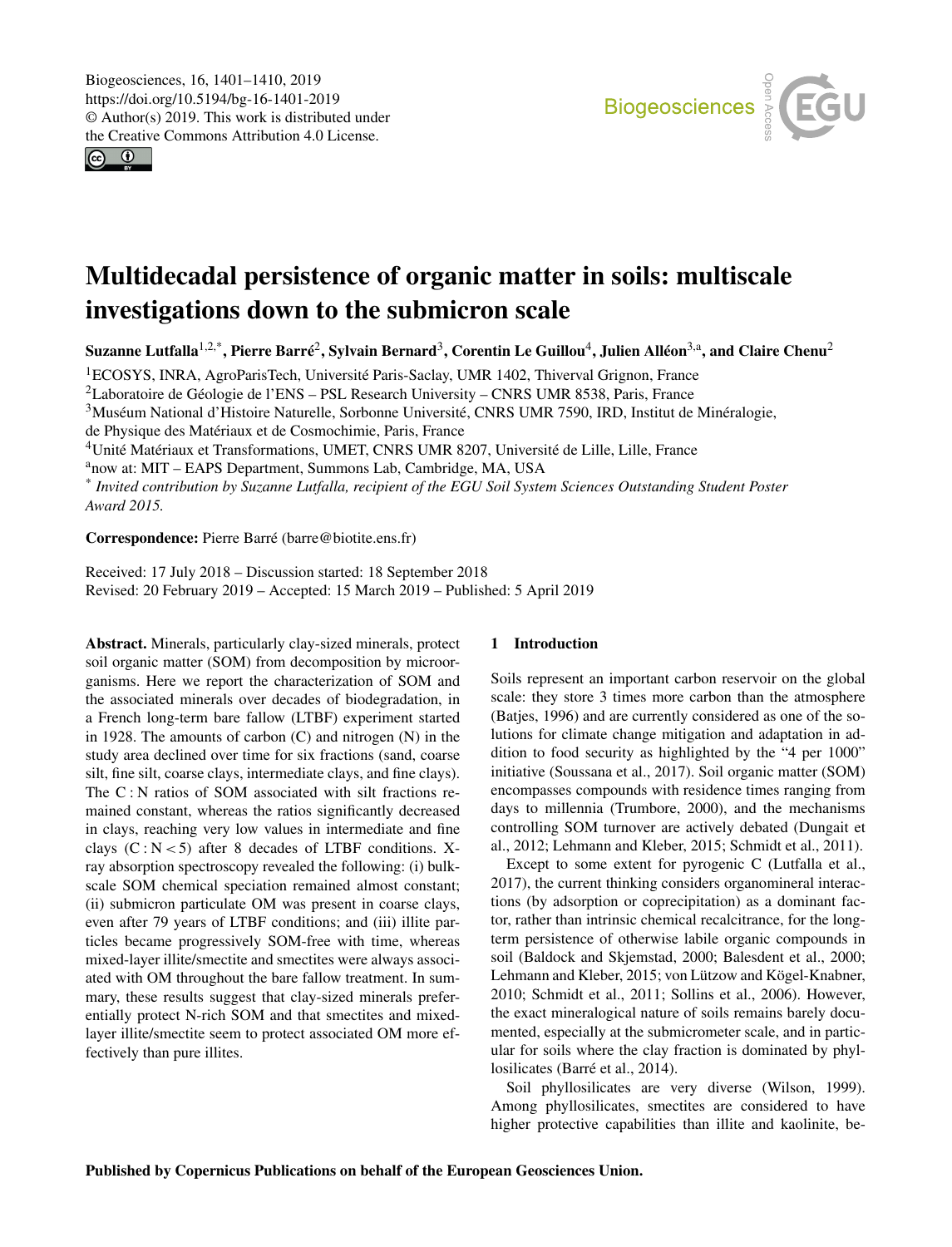<span id="page-0-1"></span> $\circ$   $\circ$ 



# Multidecadal persistence of organic matter in soils: multiscale investigations down to the submicron scale

Suzanne Lutfalla $^{1,2,*}$  $^{1,2,*}$  $^{1,2,*}$ , Pierre Barré $^2$  $^2$ , Sylvain Bernard $^3$  $^3$ , Corentin Le Guillou $^4$  $^4$ , Julien Alléon $^{3, \rm a}$ , and Claire Chenu $^2$ 

<sup>1</sup>ECOSYS, INRA, AgroParisTech, Université Paris-Saclay, UMR 1402, Thiverval Grignon, France

<sup>2</sup>Laboratoire de Géologie de l'ENS – PSL Research University – CNRS UMR 8538, Paris, France

<sup>3</sup>Muséum National d'Histoire Naturelle, Sorbonne Université, CNRS UMR 7590, IRD, Institut de Minéralogie,

de Physique des Matériaux et de Cosmochimie, Paris, France

<sup>4</sup>Unité Matériaux et Transformations, UMET, CNRS UMR 8207, Université de Lille, Lille, France

<sup>a</sup>now at: MIT – EAPS Department, Summons Lab, Cambridge, MA, USA

\* *Invited contribution by Suzanne Lutfalla, recipient of the EGU Soil System Sciences Outstanding Student Poster Award 2015.*

Correspondence: Pierre Barré (barre@biotite.ens.fr)

Received: 17 July 2018 – Discussion started: 18 September 2018 Revised: 20 February 2019 – Accepted: 15 March 2019 – Published: 5 April 2019

<span id="page-0-0"></span>Abstract. Minerals, particularly clay-sized minerals, protect soil organic matter (SOM) from decomposition by microorganisms. Here we report the characterization of SOM and the associated minerals over decades of biodegradation, in a French long-term bare fallow (LTBF) experiment started in 1928. The amounts of carbon  $(C)$  and nitrogen  $(N)$  in the study area declined over time for six fractions (sand, coarse silt, fine silt, coarse clays, intermediate clays, and fine clays). The C : N ratios of SOM associated with silt fractions remained constant, whereas the ratios significantly decreased in clays, reaching very low values in intermediate and fine clays  $(C : N < 5)$  after 8 decades of LTBF conditions. Xray absorption spectroscopy revealed the following: (i) bulkscale SOM chemical speciation remained almost constant; (ii) submicron particulate OM was present in coarse clays, even after 79 years of LTBF conditions; and (iii) illite particles became progressively SOM-free with time, whereas mixed-layer illite/smectite and smectites were always associated with OM throughout the bare fallow treatment. In summary, these results suggest that clay-sized minerals preferentially protect N-rich SOM and that smectites and mixedlayer illite/smectite seem to protect associated OM more effectively than pure illites.

## 1 Introduction

Soils represent an important carbon reservoir on the global scale: they store 3 times more carbon than the atmosphere (Batjes, 1996) and are currently considered as one of the solutions for climate change mitigation and adaptation in addition to food security as highlighted by the "4 per 1000" initiative (Soussana et al., 2017). Soil organic matter (SOM) encompasses compounds with residence times ranging from days to millennia (Trumbore, 2000), and the mechanisms controlling SOM turnover are actively debated (Dungait et al., 2012; Lehmann and Kleber, 2015; Schmidt et al., 2011).

Except to some extent for pyrogenic C (Lutfalla et al., 2017), the current thinking considers organomineral interactions (by adsorption or coprecipitation) as a dominant factor, rather than intrinsic chemical recalcitrance, for the longterm persistence of otherwise labile organic compounds in soil (Baldock and Skjemstad, 2000; Balesdent et al., 2000; Lehmann and Kleber, 2015; von Lützow and Kögel-Knabner, 2010; Schmidt et al., 2011; Sollins et al., 2006). However, the exact mineralogical nature of soils remains barely documented, especially at the submicrometer scale, and in particular for soils where the clay fraction is dominated by phyllosilicates (Barré et al., 2014).

Soil phyllosilicates are very diverse (Wilson, 1999). Among phyllosilicates, smectites are considered to have higher protective capabilities than illite and kaolinite, be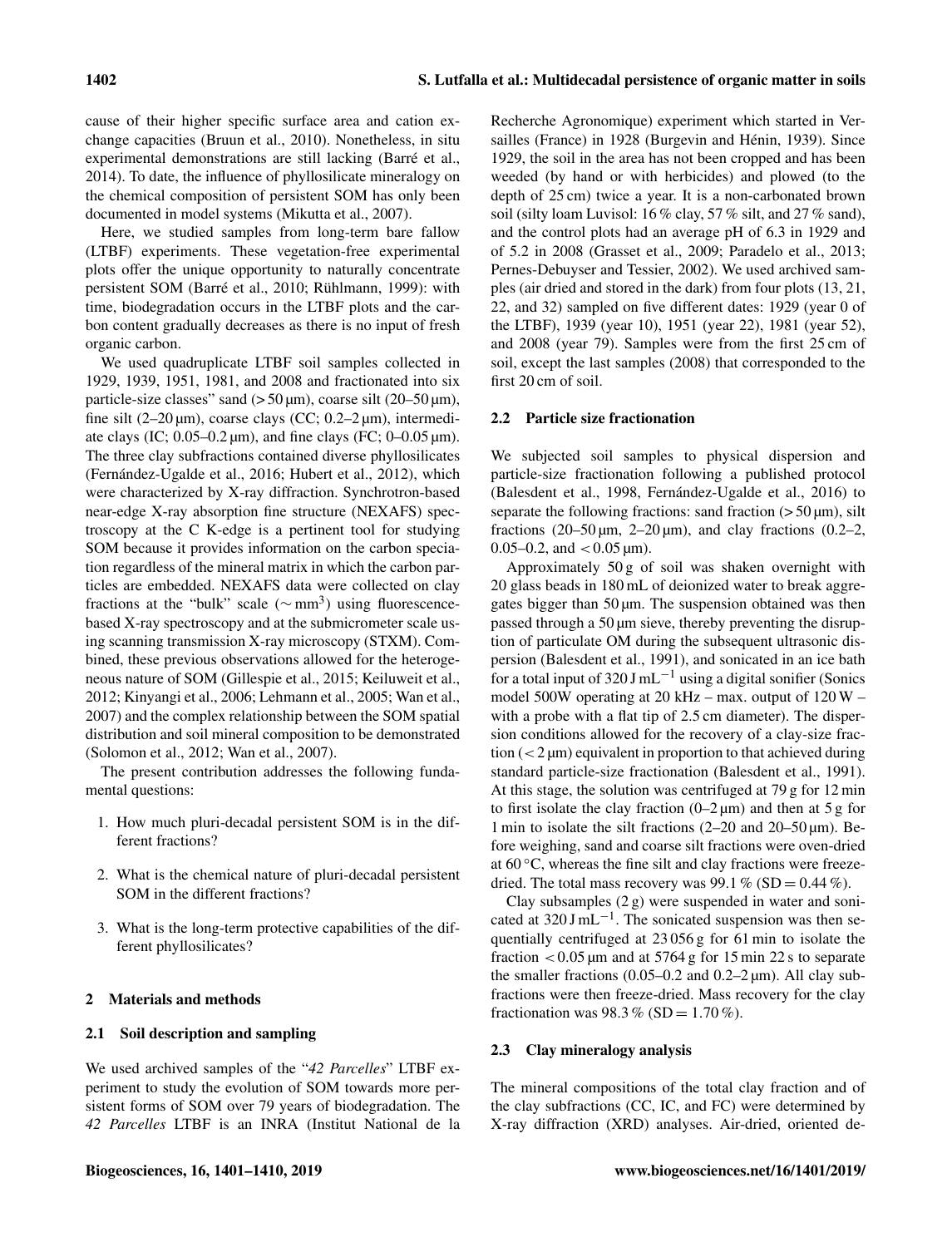cause of their higher specific surface area and cation exchange capacities (Bruun et al., 2010). Nonetheless, in situ experimental demonstrations are still lacking (Barré et al., 2014). To date, the influence of phyllosilicate mineralogy on the chemical composition of persistent SOM has only been documented in model systems (Mikutta et al., 2007).

Here, we studied samples from long-term bare fallow (LTBF) experiments. These vegetation-free experimental plots offer the unique opportunity to naturally concentrate persistent SOM (Barré et al., 2010; Rühlmann, 1999): with time, biodegradation occurs in the LTBF plots and the carbon content gradually decreases as there is no input of fresh organic carbon.

We used quadruplicate LTBF soil samples collected in 1929, 1939, 1951, 1981, and 2008 and fractionated into six particle-size classes" sand  $(50 \,\mu m)$ , coarse silt  $(20-50 \,\mu m)$ , fine silt (2–20  $\mu$ m), coarse clays (CC; 0.2–2  $\mu$ m), intermediate clays (IC;  $0.05-0.2 \mu m$ ), and fine clays (FC;  $0-0.05 \mu m$ ). The three clay subfractions contained diverse phyllosilicates (Fernández-Ugalde et al., 2016; Hubert et al., 2012), which were characterized by X-ray diffraction. Synchrotron-based near-edge X-ray absorption fine structure (NEXAFS) spectroscopy at the C K-edge is a pertinent tool for studying SOM because it provides information on the carbon speciation regardless of the mineral matrix in which the carbon particles are embedded. NEXAFS data were collected on clay fractions at the "bulk" scale ( $\sim$ mm<sup>3</sup>) using fluorescencebased X-ray spectroscopy and at the submicrometer scale using scanning transmission X-ray microscopy (STXM). Combined, these previous observations allowed for the heterogeneous nature of SOM (Gillespie et al., 2015; Keiluweit et al., 2012; Kinyangi et al., 2006; Lehmann et al., 2005; Wan et al., 2007) and the complex relationship between the SOM spatial distribution and soil mineral composition to be demonstrated (Solomon et al., 2012; Wan et al., 2007).

The present contribution addresses the following fundamental questions:

- 1. How much pluri-decadal persistent SOM is in the different fractions?
- 2. What is the chemical nature of pluri-decadal persistent SOM in the different fractions?
- 3. What is the long-term protective capabilities of the different phyllosilicates?

## 2 Materials and methods

## 2.1 Soil description and sampling

We used archived samples of the "*42 Parcelles*" LTBF experiment to study the evolution of SOM towards more persistent forms of SOM over 79 years of biodegradation. The *42 Parcelles* LTBF is an INRA (Institut National de la Recherche Agronomique) experiment which started in Versailles (France) in 1928 (Burgevin and Hénin, 1939). Since 1929, the soil in the area has not been cropped and has been weeded (by hand or with herbicides) and plowed (to the depth of 25 cm) twice a year. It is a non-carbonated brown soil (silty loam Luvisol: 16 % clay, 57 % silt, and 27 % sand), and the control plots had an average pH of 6.3 in 1929 and of 5.2 in 2008 (Grasset et al., 2009; Paradelo et al., 2013; Pernes-Debuyser and Tessier, 2002). We used archived samples (air dried and stored in the dark) from four plots (13, 21, 22, and 32) sampled on five different dates: 1929 (year 0 of the LTBF), 1939 (year 10), 1951 (year 22), 1981 (year 52), and 2008 (year 79). Samples were from the first 25 cm of soil, except the last samples (2008) that corresponded to the first 20 cm of soil.

#### 2.2 Particle size fractionation

We subjected soil samples to physical dispersion and particle-size fractionation following a published protocol (Balesdent et al., 1998, Fernández-Ugalde et al., 2016) to separate the following fractions: sand fraction  $(>50 \,\mu m)$ , silt fractions  $(20-50 \,\mu m, 2-20 \,\mu m)$ , and clay fractions  $(0.2-2, 1)$ 0.05–0.2, and  $< 0.05 \,\mathrm{\mu m}$ ).

Approximately 50 g of soil was shaken overnight with 20 glass beads in 180 mL of deionized water to break aggregates bigger than  $50 \mu m$ . The suspension obtained was then passed through a 50 µm sieve, thereby preventing the disruption of particulate OM during the subsequent ultrasonic dispersion (Balesdent et al., 1991), and sonicated in an ice bath for a total input of 320 J mL<sup> $-1$ </sup> using a digital sonifier (Sonics model 500W operating at 20 kHz – max. output of 120 W – with a probe with a flat tip of 2.5 cm diameter). The dispersion conditions allowed for the recovery of a clay-size fraction  $(< 2 \mu m)$  equivalent in proportion to that achieved during standard particle-size fractionation (Balesdent et al., 1991). At this stage, the solution was centrifuged at 79 g for 12 min to first isolate the clay fraction  $(0-2 \mu m)$  and then at 5 g for 1 min to isolate the silt fractions (2–20 and 20–50 µm). Before weighing, sand and coarse silt fractions were oven-dried at  $60^{\circ}$ C, whereas the fine silt and clay fractions were freezedried. The total mass recovery was 99.1 % (SD =  $0.44$  %).

Clay subsamples  $(2 g)$  were suspended in water and sonicated at 320 J mL−<sup>1</sup> . The sonicated suspension was then sequentially centrifuged at 23 056 g for 61 min to isolate the fraction  $< 0.05 \mu m$  and at 5764 g for 15 min 22 s to separate the smaller fractions  $(0.05-0.2 \text{ and } 0.2-2 \text{ µm})$ . All clay subfractions were then freeze-dried. Mass recovery for the clay fractionation was 98.3 % (SD =  $1.70$  %).

## 2.3 Clay mineralogy analysis

The mineral compositions of the total clay fraction and of the clay subfractions (CC, IC, and FC) were determined by X-ray diffraction (XRD) analyses. Air-dried, oriented de-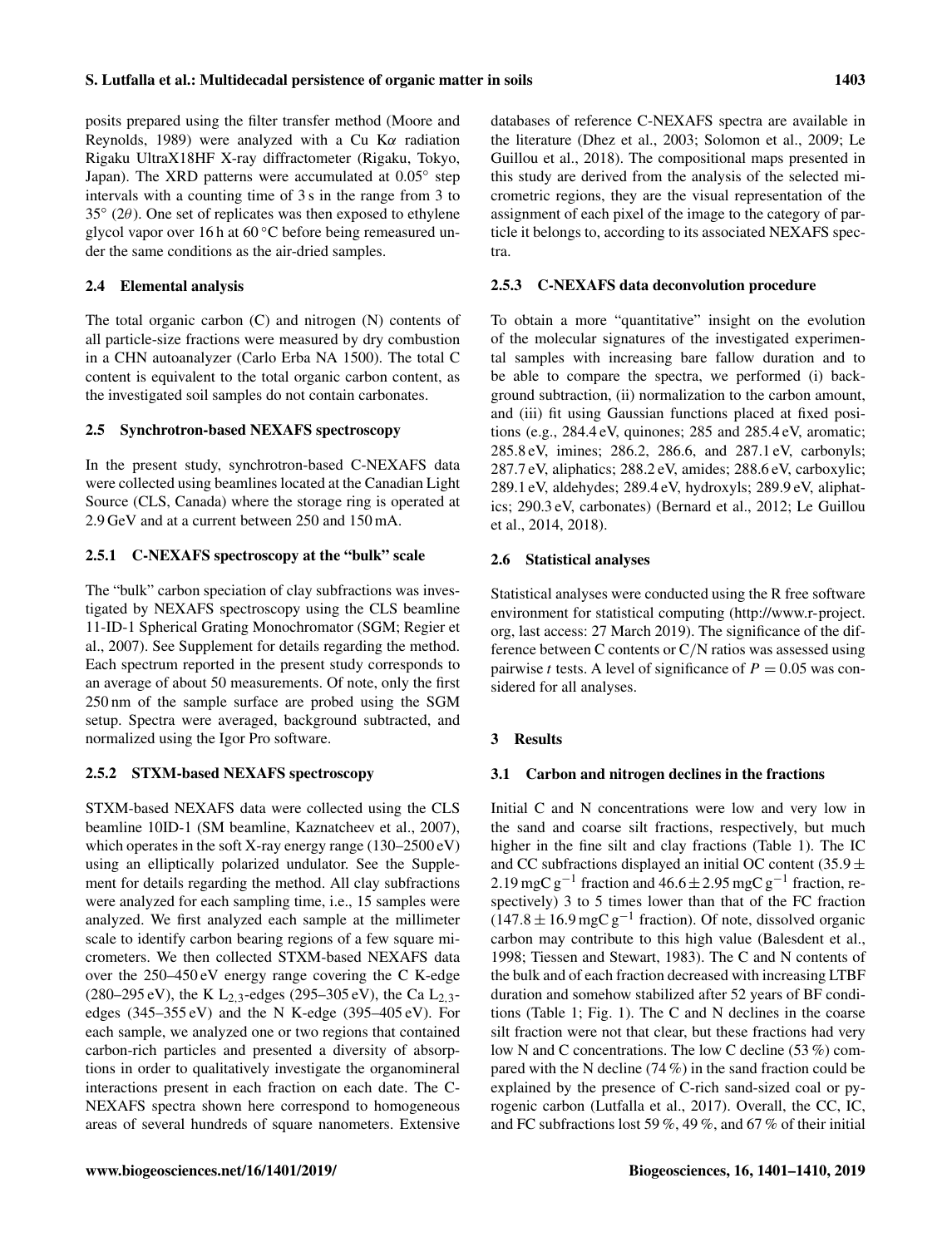## S. Lutfalla et al.: Multidecadal persistence of organic matter in soils 1403

posits prepared using the filter transfer method (Moore and Reynolds, 1989) were analyzed with a Cu K $\alpha$  radiation Rigaku UltraX18HF X-ray diffractometer (Rigaku, Tokyo, Japan). The XRD patterns were accumulated at 0.05° step intervals with a counting time of 3 s in the range from 3 to 35◦ (2θ). One set of replicates was then exposed to ethylene glycol vapor over 16 h at  $60^{\circ}$ C before being remeasured under the same conditions as the air-dried samples.

## 2.4 Elemental analysis

The total organic carbon (C) and nitrogen (N) contents of all particle-size fractions were measured by dry combustion in a CHN autoanalyzer (Carlo Erba NA 1500). The total C content is equivalent to the total organic carbon content, as the investigated soil samples do not contain carbonates.

#### 2.5 Synchrotron-based NEXAFS spectroscopy

In the present study, synchrotron-based C-NEXAFS data were collected using beamlines located at the Canadian Light Source (CLS, Canada) where the storage ring is operated at 2.9 GeV and at a current between 250 and 150 mA.

## 2.5.1 C-NEXAFS spectroscopy at the "bulk" scale

The "bulk" carbon speciation of clay subfractions was investigated by NEXAFS spectroscopy using the CLS beamline 11-ID-1 Spherical Grating Monochromator (SGM; Regier et al., 2007). See Supplement for details regarding the method. Each spectrum reported in the present study corresponds to an average of about 50 measurements. Of note, only the first 250 nm of the sample surface are probed using the SGM setup. Spectra were averaged, background subtracted, and normalized using the Igor Pro software.

#### 2.5.2 STXM-based NEXAFS spectroscopy

STXM-based NEXAFS data were collected using the CLS beamline 10ID-1 (SM beamline, Kaznatcheev et al., 2007), which operates in the soft X-ray energy range (130–2500 eV) using an elliptically polarized undulator. See the Supplement for details regarding the method. All clay subfractions were analyzed for each sampling time, i.e., 15 samples were analyzed. We first analyzed each sample at the millimeter scale to identify carbon bearing regions of a few square micrometers. We then collected STXM-based NEXAFS data over the 250–450 eV energy range covering the C K-edge (280–295 eV), the K L<sub>2,3</sub>-edges (295–305 eV), the Ca L<sub>2,3</sub>edges  $(345-355 \text{ eV})$  and the N K-edge  $(395-405 \text{ eV})$ . For each sample, we analyzed one or two regions that contained carbon-rich particles and presented a diversity of absorptions in order to qualitatively investigate the organomineral interactions present in each fraction on each date. The C-NEXAFS spectra shown here correspond to homogeneous areas of several hundreds of square nanometers. Extensive databases of reference C-NEXAFS spectra are available in the literature (Dhez et al., 2003; Solomon et al., 2009; Le Guillou et al., 2018). The compositional maps presented in this study are derived from the analysis of the selected micrometric regions, they are the visual representation of the assignment of each pixel of the image to the category of particle it belongs to, according to its associated NEXAFS spectra.

## 2.5.3 C-NEXAFS data deconvolution procedure

To obtain a more "quantitative" insight on the evolution of the molecular signatures of the investigated experimental samples with increasing bare fallow duration and to be able to compare the spectra, we performed (i) background subtraction, (ii) normalization to the carbon amount, and (iii) fit using Gaussian functions placed at fixed positions (e.g., 284.4 eV, quinones; 285 and 285.4 eV, aromatic; 285.8 eV, imines; 286.2, 286.6, and 287.1 eV, carbonyls; 287.7 eV, aliphatics; 288.2 eV, amides; 288.6 eV, carboxylic; 289.1 eV, aldehydes; 289.4 eV, hydroxyls; 289.9 eV, aliphatics; 290.3 eV, carbonates) (Bernard et al., 2012; Le Guillou et al., 2014, 2018).

## 2.6 Statistical analyses

Statistical analyses were conducted using the R free software environment for statistical computing [\(http://www.r-project.](http://www.r-project.org) [org,](http://www.r-project.org) last access: 27 March 2019). The significance of the difference between C contents or C/N ratios was assessed using pairwise t tests. A level of significance of  $P = 0.05$  was considered for all analyses.

## 3 Results

#### 3.1 Carbon and nitrogen declines in the fractions

Initial C and N concentrations were low and very low in the sand and coarse silt fractions, respectively, but much higher in the fine silt and clay fractions (Table 1). The IC and CC subfractions displayed an initial OC content (35.9  $\pm$ 2.19 mgC  $g^{-1}$  fraction and 46.6 ± 2.95 mgC  $g^{-1}$  fraction, respectively) 3 to 5 times lower than that of the FC fraction  $(147.8 \pm 16.9 \,\text{mgC}\,\text{g}^{-1}$  fraction). Of note, dissolved organic carbon may contribute to this high value (Balesdent et al., 1998; Tiessen and Stewart, 1983). The C and N contents of the bulk and of each fraction decreased with increasing LTBF duration and somehow stabilized after 52 years of BF conditions (Table 1; Fig. 1). The C and N declines in the coarse silt fraction were not that clear, but these fractions had very low N and C concentrations. The low C decline (53 %) compared with the N decline (74 %) in the sand fraction could be explained by the presence of C-rich sand-sized coal or pyrogenic carbon (Lutfalla et al., 2017). Overall, the CC, IC, and FC subfractions lost 59 %, 49 %, and 67 % of their initial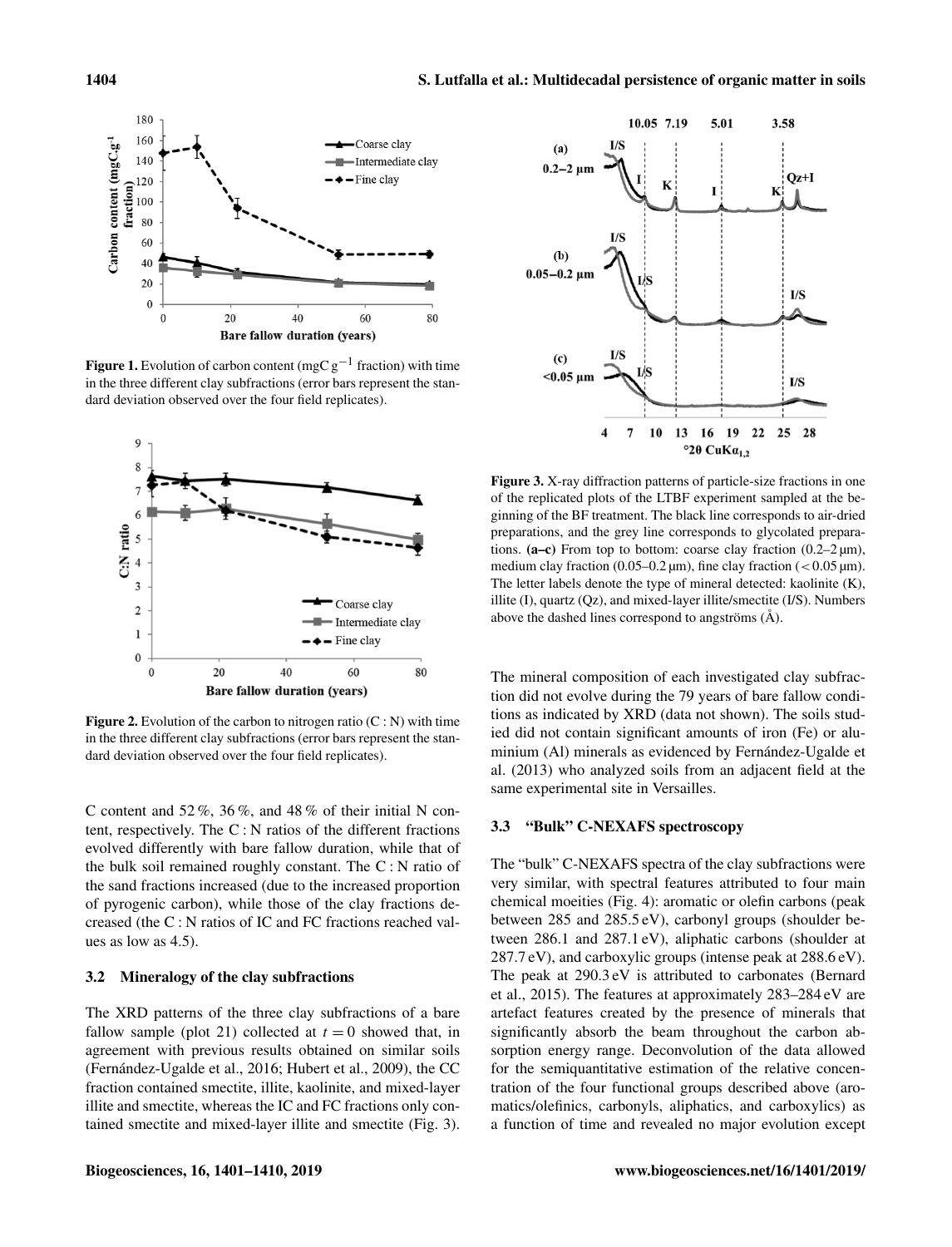

**Figure 1.** Evolution of carbon content (mgC  $g^{-1}$  fraction) with time in the three different clay subfractions (error bars represent the standard deviation observed over the four field replicates).



**Figure 2.** Evolution of the carbon to nitrogen ratio  $(C: N)$  with time in the three different clay subfractions (error bars represent the standard deviation observed over the four field replicates).

C content and  $52\%, 36\%,$  and  $48\%$  of their initial N content, respectively. The C : N ratios of the different fractions evolved differently with bare fallow duration, while that of the bulk soil remained roughly constant. The C : N ratio of the sand fractions increased (due to the increased proportion of pyrogenic carbon), while those of the clay fractions decreased (the C : N ratios of IC and FC fractions reached values as low as 4.5).

## 3.2 Mineralogy of the clay subfractions

The XRD patterns of the three clay subfractions of a bare fallow sample (plot 21) collected at  $t = 0$  showed that, in agreement with previous results obtained on similar soils (Fernández-Ugalde et al., 2016; Hubert et al., 2009), the CC fraction contained smectite, illite, kaolinite, and mixed-layer illite and smectite, whereas the IC and FC fractions only contained smectite and mixed-layer illite and smectite (Fig. 3).



Figure 3. X-ray diffraction patterns of particle-size fractions in one of the replicated plots of the LTBF experiment sampled at the beginning of the BF treatment. The black line corresponds to air-dried preparations, and the grey line corresponds to glycolated preparations. (a–c) From top to bottom: coarse clay fraction  $(0.2-2 \,\mu\text{m})$ , medium clay fraction (0.05–0.2  $\mu$ m), fine clay fraction (<0.05  $\mu$ m). The letter labels denote the type of mineral detected: kaolinite (K), illite (I), quartz (Qz), and mixed-layer illite/smectite (I/S). Numbers above the dashed lines correspond to angströms (Å).

The mineral composition of each investigated clay subfraction did not evolve during the 79 years of bare fallow conditions as indicated by XRD (data not shown). The soils studied did not contain significant amounts of iron (Fe) or aluminium (Al) minerals as evidenced by Fernández-Ugalde et al. (2013) who analyzed soils from an adjacent field at the same experimental site in Versailles.

#### 3.3 "Bulk" C-NEXAFS spectroscopy

The "bulk" C-NEXAFS spectra of the clay subfractions were very similar, with spectral features attributed to four main chemical moeities (Fig. 4): aromatic or olefin carbons (peak between 285 and 285.5 eV), carbonyl groups (shoulder between 286.1 and 287.1 eV), aliphatic carbons (shoulder at 287.7 eV), and carboxylic groups (intense peak at 288.6 eV). The peak at 290.3 eV is attributed to carbonates (Bernard et al., 2015). The features at approximately 283–284 eV are artefact features created by the presence of minerals that significantly absorb the beam throughout the carbon absorption energy range. Deconvolution of the data allowed for the semiquantitative estimation of the relative concentration of the four functional groups described above (aromatics/olefinics, carbonyls, aliphatics, and carboxylics) as a function of time and revealed no major evolution except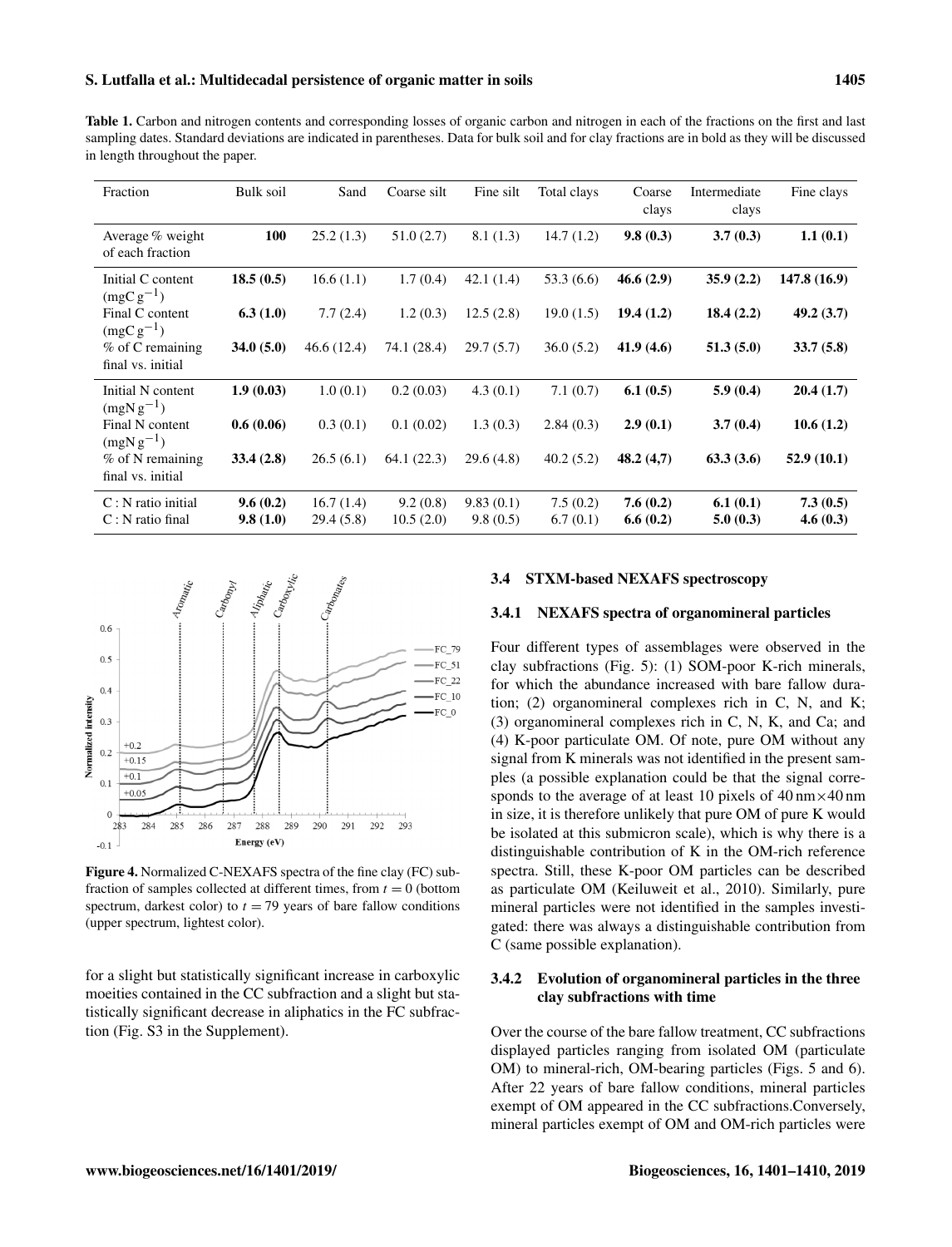Table 1. Carbon and nitrogen contents and corresponding losses of organic carbon and nitrogen in each of the fractions on the first and last sampling dates. Standard deviations are indicated in parentheses. Data for bulk soil and for clay fractions are in bold as they will be discussed in length throughout the paper.

| Fraction                                   | Bulk soil            | Sand                   | Coarse silt           | Fine silt             | Total clays          | Coarse<br>clays      | Intermediate<br>clays | Fine clays           |
|--------------------------------------------|----------------------|------------------------|-----------------------|-----------------------|----------------------|----------------------|-----------------------|----------------------|
| Average % weight<br>of each fraction       | 100                  | 25.2(1.3)              | 51.0(2.7)             | 8.1(1.3)              | 14.7(1.2)            | 9.8(0.3)             | 3.7(0.3)              | 1.1(0.1)             |
| Initial C content<br>$(mgCg^{-1})$         | 18.5(0.5)            | 16.6(1.1)              | 1.7(0.4)              | 42.1(1.4)             | 53.3(6.6)            | 46.6(2.9)            | 35.9(2.2)             | 147.8 (16.9)         |
| Final C content<br>$(mgCg^{-1})$           | 6.3(1.0)             | 7.7(2.4)               | 1.2(0.3)              | 12.5(2.8)             | 19.0(1.5)            | 19.4(1.2)            | 18.4(2.2)             | 49.2 (3.7)           |
| % of C remaining<br>final vs. initial      | 34.0(5.0)            | 46.6(12.4)             | 74.1 (28.4)           | 29.7(5.7)             | 36.0(5.2)            | 41.9(4.6)            | 51.3(5.0)             | 33.7(5.8)            |
| Initial N content<br>$(mgNg^{-1})$         | 1.9(0.03)            | 1.0(0.1)               | 0.2(0.03)             | 4.3(0.1)              | 7.1(0.7)             | 6.1(0.5)             | 5.9(0.4)              | 20.4(1.7)            |
| Final N content<br>$(mgNg^{-1})$           | 0.6(0.06)            | 0.3(0.1)               | 0.1(0.02)             | 1.3(0.3)              | 2.84(0.3)            | 2.9(0.1)             | 3.7(0.4)              | 10.6(1.2)            |
| $%$ of N remaining<br>final vs. initial    | 33.4(2.8)            | 26.5(6.1)              | 64.1 (22.3)           | 29.6(4.8)             | 40.2(5.2)            | 48.2(4,7)            | 63.3(3.6)             | 52.9(10.1)           |
| $C: N$ ratio initial<br>$C: N$ ratio final | 9.6(0.2)<br>9.8(1.0) | 16.7(1.4)<br>29.4(5.8) | 9.2(0.8)<br>10.5(2.0) | 9.83(0.1)<br>9.8(0.5) | 7.5(0.2)<br>6.7(0.1) | 7.6(0.2)<br>6.6(0.2) | 6.1(0.1)<br>5.0(0.3)  | 7.3(0.5)<br>4.6(0.3) |



Figure 4. Normalized C-NEXAFS spectra of the fine clay (FC) subfraction of samples collected at different times, from  $t = 0$  (bottom spectrum, darkest color) to  $t = 79$  years of bare fallow conditions (upper spectrum, lightest color).

for a slight but statistically significant increase in carboxylic moeities contained in the CC subfraction and a slight but statistically significant decrease in aliphatics in the FC subfraction (Fig. S3 in the Supplement).

#### 3.4 STXM-based NEXAFS spectroscopy

#### 3.4.1 NEXAFS spectra of organomineral particles

Four different types of assemblages were observed in the clay subfractions (Fig. 5): (1) SOM-poor K-rich minerals, for which the abundance increased with bare fallow duration; (2) organomineral complexes rich in C, N, and K; (3) organomineral complexes rich in C, N, K, and Ca; and (4) K-poor particulate OM. Of note, pure OM without any signal from K minerals was not identified in the present samples (a possible explanation could be that the signal corresponds to the average of at least 10 pixels of  $40 \text{ nm} \times 40 \text{ nm}$ in size, it is therefore unlikely that pure OM of pure K would be isolated at this submicron scale), which is why there is a distinguishable contribution of K in the OM-rich reference spectra. Still, these K-poor OM particles can be described as particulate OM (Keiluweit et al., 2010). Similarly, pure mineral particles were not identified in the samples investigated: there was always a distinguishable contribution from C (same possible explanation).

#### 3.4.2 Evolution of organomineral particles in the three clay subfractions with time

Over the course of the bare fallow treatment, CC subfractions displayed particles ranging from isolated OM (particulate OM) to mineral-rich, OM-bearing particles (Figs. 5 and 6). After 22 years of bare fallow conditions, mineral particles exempt of OM appeared in the CC subfractions.Conversely, mineral particles exempt of OM and OM-rich particles were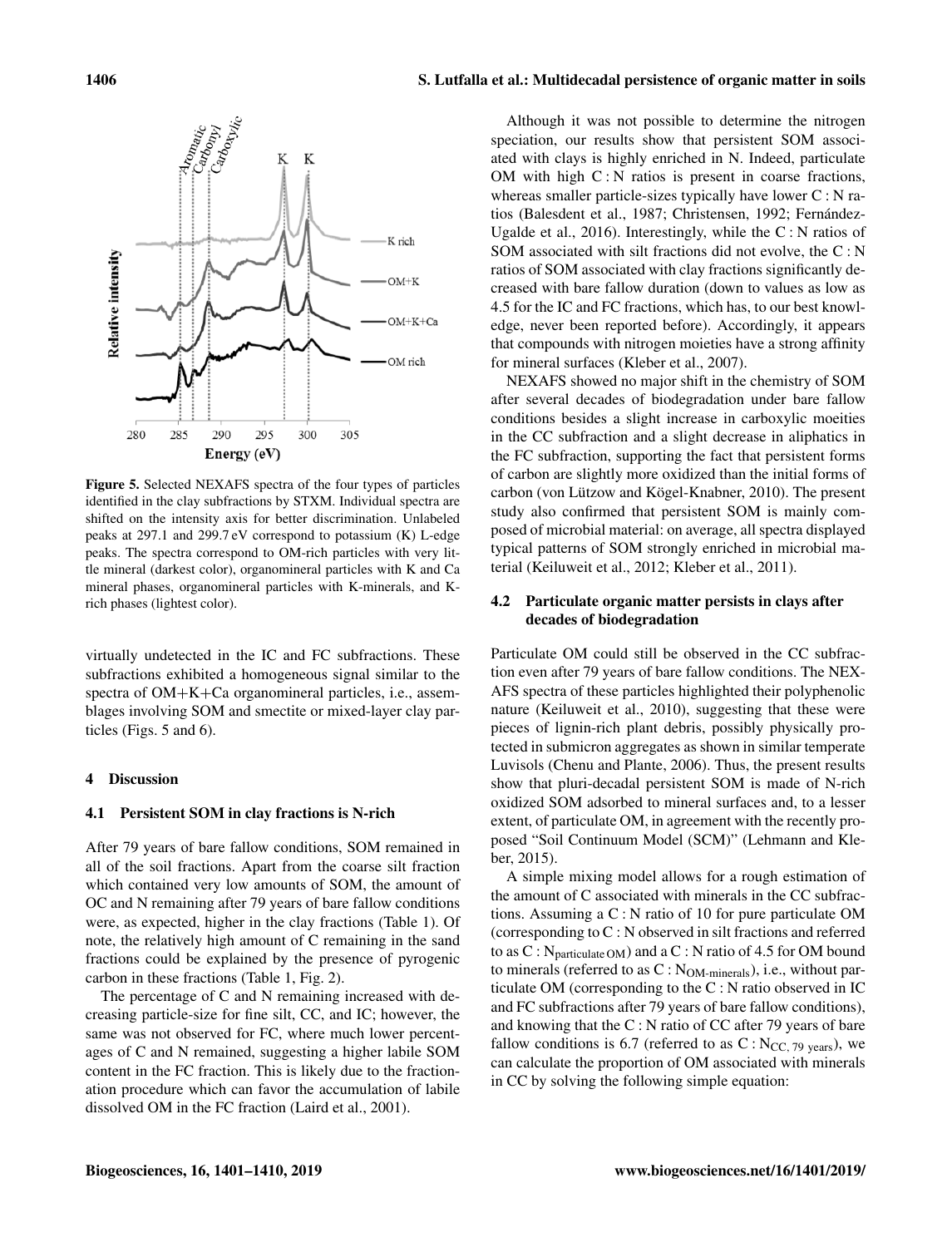

Figure 5. Selected NEXAFS spectra of the four types of particles identified in the clay subfractions by STXM. Individual spectra are shifted on the intensity axis for better discrimination. Unlabeled peaks at 297.1 and 299.7 eV correspond to potassium (K) L-edge peaks. The spectra correspond to OM-rich particles with very little mineral (darkest color), organomineral particles with K and Ca mineral phases, organomineral particles with K-minerals, and Krich phases (lightest color).

virtually undetected in the IC and FC subfractions. These subfractions exhibited a homogeneous signal similar to the spectra of OM+K+Ca organomineral particles, i.e., assemblages involving SOM and smectite or mixed-layer clay particles (Figs. 5 and 6).

#### 4 Discussion

#### 4.1 Persistent SOM in clay fractions is N-rich

After 79 years of bare fallow conditions, SOM remained in all of the soil fractions. Apart from the coarse silt fraction which contained very low amounts of SOM, the amount of OC and N remaining after 79 years of bare fallow conditions were, as expected, higher in the clay fractions (Table 1). Of note, the relatively high amount of C remaining in the sand fractions could be explained by the presence of pyrogenic carbon in these fractions (Table 1, Fig. 2).

The percentage of C and N remaining increased with decreasing particle-size for fine silt, CC, and IC; however, the same was not observed for FC, where much lower percentages of C and N remained, suggesting a higher labile SOM content in the FC fraction. This is likely due to the fractionation procedure which can favor the accumulation of labile dissolved OM in the FC fraction (Laird et al., 2001).

Although it was not possible to determine the nitrogen speciation, our results show that persistent SOM associated with clays is highly enriched in N. Indeed, particulate OM with high  $C: N$  ratios is present in coarse fractions, whereas smaller particle-sizes typically have lower C : N ratios (Balesdent et al., 1987; Christensen, 1992; Fernández-Ugalde et al., 2016). Interestingly, while the C : N ratios of SOM associated with silt fractions did not evolve, the C : N ratios of SOM associated with clay fractions significantly decreased with bare fallow duration (down to values as low as 4.5 for the IC and FC fractions, which has, to our best knowledge, never been reported before). Accordingly, it appears that compounds with nitrogen moieties have a strong affinity for mineral surfaces (Kleber et al., 2007).

NEXAFS showed no major shift in the chemistry of SOM after several decades of biodegradation under bare fallow conditions besides a slight increase in carboxylic moeities in the CC subfraction and a slight decrease in aliphatics in the FC subfraction, supporting the fact that persistent forms of carbon are slightly more oxidized than the initial forms of carbon (von Lützow and Kögel-Knabner, 2010). The present study also confirmed that persistent SOM is mainly composed of microbial material: on average, all spectra displayed typical patterns of SOM strongly enriched in microbial material (Keiluweit et al., 2012; Kleber et al., 2011).

## 4.2 Particulate organic matter persists in clays after decades of biodegradation

Particulate OM could still be observed in the CC subfraction even after 79 years of bare fallow conditions. The NEX-AFS spectra of these particles highlighted their polyphenolic nature (Keiluweit et al., 2010), suggesting that these were pieces of lignin-rich plant debris, possibly physically protected in submicron aggregates as shown in similar temperate Luvisols (Chenu and Plante, 2006). Thus, the present results show that pluri-decadal persistent SOM is made of N-rich oxidized SOM adsorbed to mineral surfaces and, to a lesser extent, of particulate OM, in agreement with the recently proposed "Soil Continuum Model (SCM)" (Lehmann and Kleber, 2015).

A simple mixing model allows for a rough estimation of the amount of C associated with minerals in the CC subfractions. Assuming a C : N ratio of 10 for pure particulate OM (corresponding to C : N observed in silt fractions and referred to as  $C : N_{particulate OM}$  and a  $C : N$  ratio of 4.5 for OM bound to minerals (referred to as C : N<sub>OM-minerals</sub>), i.e., without particulate OM (corresponding to the C : N ratio observed in IC and FC subfractions after 79 years of bare fallow conditions), and knowing that the C : N ratio of CC after 79 years of bare fallow conditions is 6.7 (referred to as  $C : N_{CC, 79 \text{ years}}$ ), we can calculate the proportion of OM associated with minerals in CC by solving the following simple equation: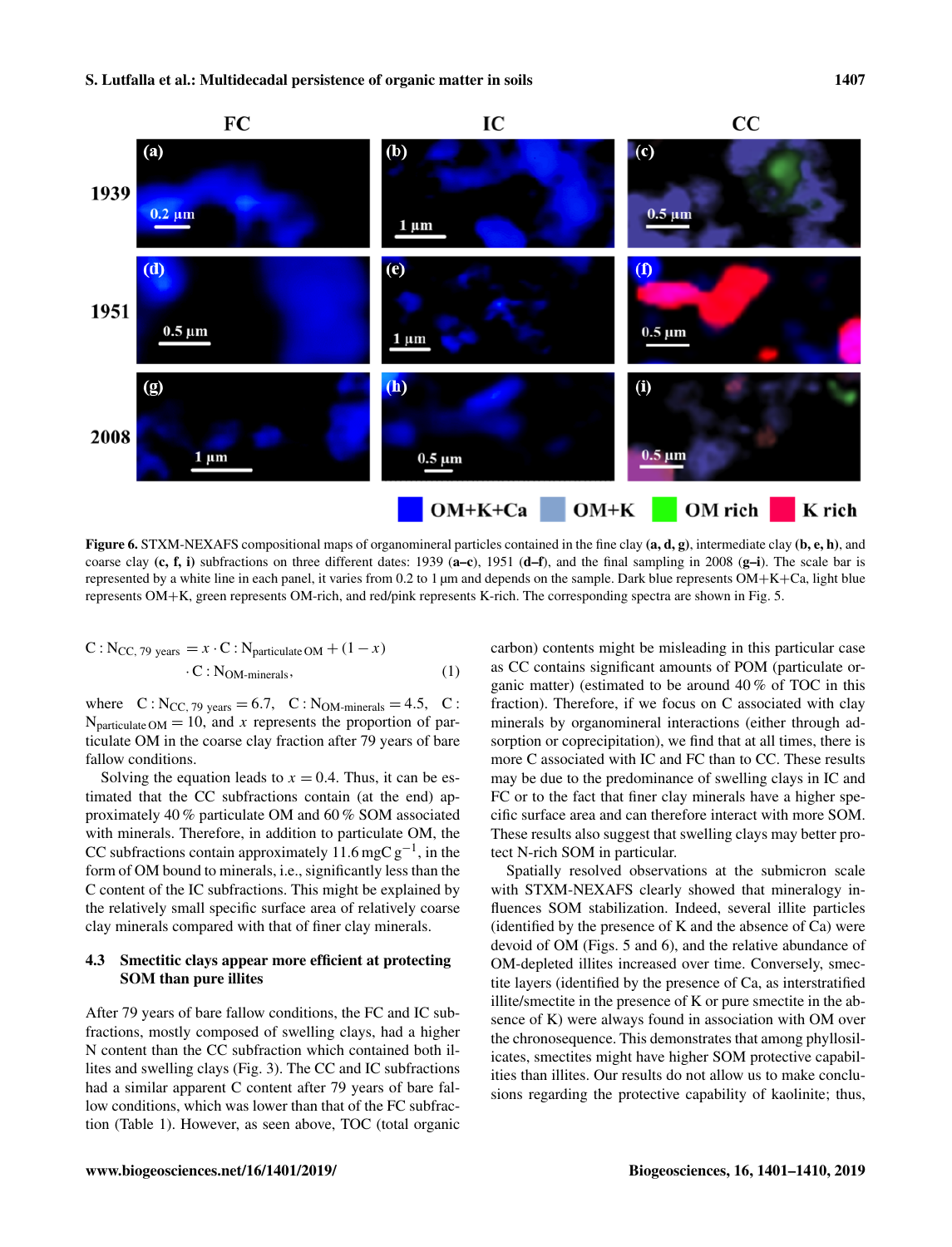

Figure 6. STXM-NEXAFS compositional maps of organomineral particles contained in the fine clay  $(a, d, g)$ , intermediate clay  $(b, e, h)$ , and coarse clay  $(c, f, i)$  subfractions on three different dates: 1939  $(a-c)$ , 1951  $(d-f)$ , and the final sampling in 2008  $(g-i)$ . The scale bar is represented by a white line in each panel, it varies from 0.2 to 1 µm and depends on the sample. Dark blue represents OM+K+Ca, light blue represents OM+K, green represents OM-rich, and red/pink represents K-rich. The corresponding spectra are shown in Fig. 5.

$$
C: N_{CC, 79 \text{ years}} = x \cdot C : N_{\text{particulate OM}} + (1 - x)
$$
  
. 
$$
C : N_{\text{OM-minerals}},
$$
 (1)

where  $C: N_{CC, 79 \text{ years}} = 6.7, C: N_{OM-minerals} = 4.5, C:$  $N<sub>particulate</sub>$  OM = 10, and x represents the proportion of particulate OM in the coarse clay fraction after 79 years of bare fallow conditions.

Solving the equation leads to  $x = 0.4$ . Thus, it can be estimated that the CC subfractions contain (at the end) approximately 40 % particulate OM and 60 % SOM associated with minerals. Therefore, in addition to particulate OM, the CC subfractions contain approximately  $11.6 \text{ mgC g}^{-1}$ , in the form of OM bound to minerals, i.e., significantly less than the C content of the IC subfractions. This might be explained by the relatively small specific surface area of relatively coarse clay minerals compared with that of finer clay minerals.

## 4.3 Smectitic clays appear more efficient at protecting SOM than pure illites

After 79 years of bare fallow conditions, the FC and IC subfractions, mostly composed of swelling clays, had a higher N content than the CC subfraction which contained both illites and swelling clays (Fig. 3). The CC and IC subfractions had a similar apparent C content after 79 years of bare fallow conditions, which was lower than that of the FC subfraction (Table 1). However, as seen above, TOC (total organic carbon) contents might be misleading in this particular case as CC contains significant amounts of POM (particulate organic matter) (estimated to be around 40 % of TOC in this fraction). Therefore, if we focus on C associated with clay minerals by organomineral interactions (either through adsorption or coprecipitation), we find that at all times, there is more C associated with IC and FC than to CC. These results may be due to the predominance of swelling clays in IC and FC or to the fact that finer clay minerals have a higher specific surface area and can therefore interact with more SOM. These results also suggest that swelling clays may better protect N-rich SOM in particular.

Spatially resolved observations at the submicron scale with STXM-NEXAFS clearly showed that mineralogy influences SOM stabilization. Indeed, several illite particles (identified by the presence of K and the absence of Ca) were devoid of OM (Figs. 5 and 6), and the relative abundance of OM-depleted illites increased over time. Conversely, smectite layers (identified by the presence of Ca, as interstratified illite/smectite in the presence of K or pure smectite in the absence of K) were always found in association with OM over the chronosequence. This demonstrates that among phyllosilicates, smectites might have higher SOM protective capabilities than illites. Our results do not allow us to make conclusions regarding the protective capability of kaolinite; thus,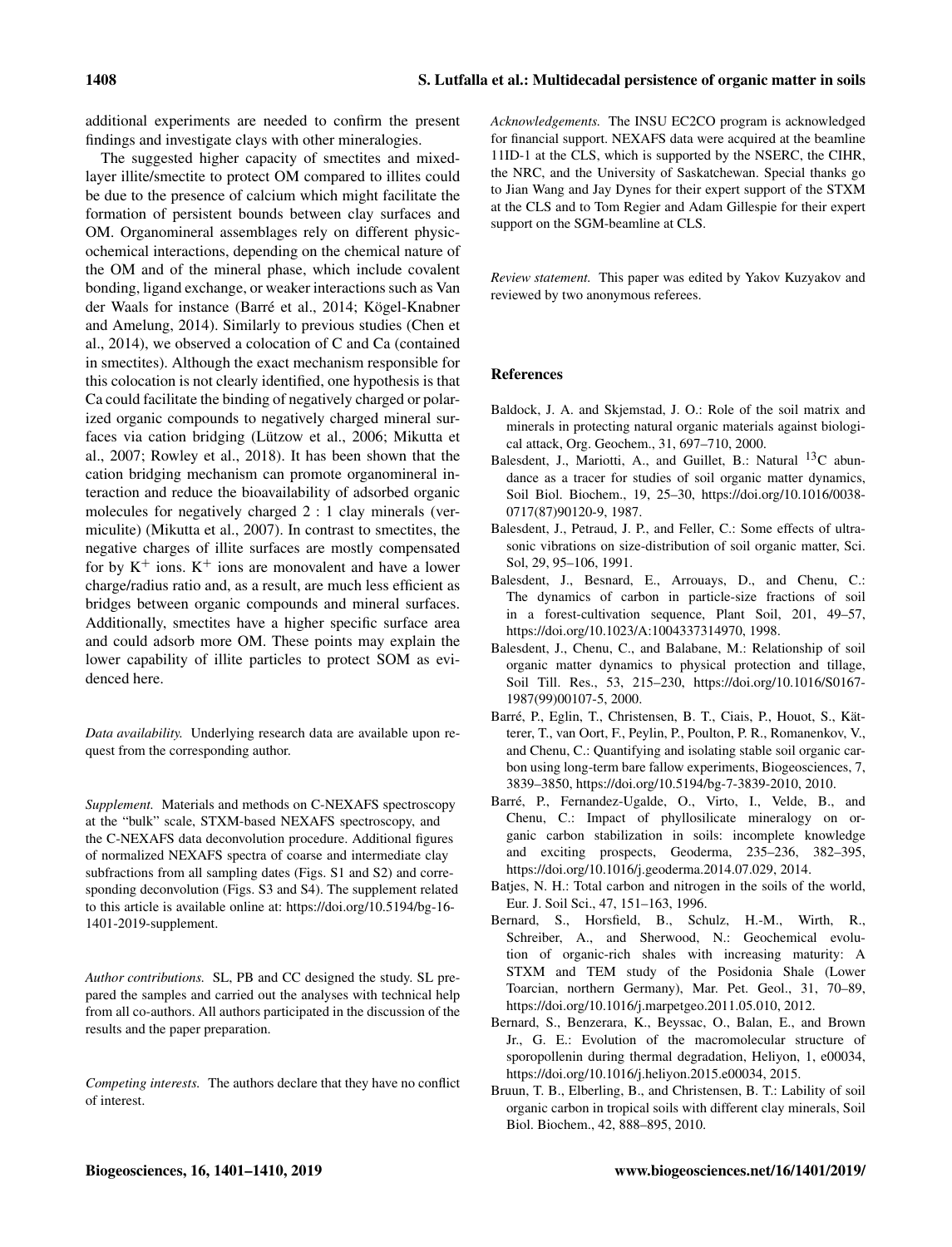additional experiments are needed to confirm the present findings and investigate clays with other mineralogies.

The suggested higher capacity of smectites and mixedlayer illite/smectite to protect OM compared to illites could be due to the presence of calcium which might facilitate the formation of persistent bounds between clay surfaces and OM. Organomineral assemblages rely on different physicochemical interactions, depending on the chemical nature of the OM and of the mineral phase, which include covalent bonding, ligand exchange, or weaker interactions such as Van der Waals for instance (Barré et al., 2014; Kögel-Knabner and Amelung, 2014). Similarly to previous studies (Chen et al., 2014), we observed a colocation of C and Ca (contained in smectites). Although the exact mechanism responsible for this colocation is not clearly identified, one hypothesis is that Ca could facilitate the binding of negatively charged or polarized organic compounds to negatively charged mineral surfaces via cation bridging (Lützow et al., 2006; Mikutta et al., 2007; Rowley et al., 2018). It has been shown that the cation bridging mechanism can promote organomineral interaction and reduce the bioavailability of adsorbed organic molecules for negatively charged 2 : 1 clay minerals (vermiculite) (Mikutta et al., 2007). In contrast to smectites, the negative charges of illite surfaces are mostly compensated for by  $K^+$  ions.  $K^+$  ions are monovalent and have a lower charge/radius ratio and, as a result, are much less efficient as bridges between organic compounds and mineral surfaces. Additionally, smectites have a higher specific surface area and could adsorb more OM. These points may explain the lower capability of illite particles to protect SOM as evidenced here.

*Data availability.* Underlying research data are available upon request from the corresponding author.

*Supplement.* Materials and methods on C-NEXAFS spectroscopy at the "bulk" scale, STXM-based NEXAFS spectroscopy, and the C-NEXAFS data deconvolution procedure. Additional figures of normalized NEXAFS spectra of coarse and intermediate clay subfractions from all sampling dates (Figs. S1 and S2) and corresponding deconvolution (Figs. S3 and S4). The supplement related to this article is available online at: [https://doi.org/10.5194/bg-16-](https://doi.org/10.5194/bg-16-1401-2019-supplement) [1401-2019-supplement.](https://doi.org/10.5194/bg-16-1401-2019-supplement)

*Author contributions.* SL, PB and CC designed the study. SL prepared the samples and carried out the analyses with technical help from all co-authors. All authors participated in the discussion of the results and the paper preparation.

*Competing interests.* The authors declare that they have no conflict of interest.

*Acknowledgements.* The INSU EC2CO program is acknowledged for financial support. NEXAFS data were acquired at the beamline 11ID-1 at the CLS, which is supported by the NSERC, the CIHR, the NRC, and the University of Saskatchewan. Special thanks go to Jian Wang and Jay Dynes for their expert support of the STXM at the CLS and to Tom Regier and Adam Gillespie for their expert support on the SGM-beamline at CLS.

*Review statement.* This paper was edited by Yakov Kuzyakov and reviewed by two anonymous referees.

#### References

- Baldock, J. A. and Skjemstad, J. O.: Role of the soil matrix and minerals in protecting natural organic materials against biological attack, Org. Geochem., 31, 697–710, 2000.
- Balesdent, J., Mariotti, A., and Guillet, B.: Natural  $^{13}$ C abundance as a tracer for studies of soil organic matter dynamics, Soil Biol. Biochem., 19, 25–30, https://doi.org[/10.1016/0038-](https://doi.org/10.1016/0038-0717(87)90120-9) [0717\(87\)90120-9,](https://doi.org/10.1016/0038-0717(87)90120-9) 1987.
- Balesdent, J., Petraud, J. P., and Feller, C.: Some effects of ultrasonic vibrations on size-distribution of soil organic matter, Sci. Sol, 29, 95–106, 1991.
- Balesdent, J., Besnard, E., Arrouays, D., and Chenu, C.: The dynamics of carbon in particle-size fractions of soil in a forest-cultivation sequence, Plant Soil, 201, 49–57, https://doi.org[/10.1023/A:1004337314970,](https://doi.org/10.1023/A:1004337314970) 1998.
- Balesdent, J., Chenu, C., and Balabane, M.: Relationship of soil organic matter dynamics to physical protection and tillage, Soil Till. Res., 53, 215–230, https://doi.org[/10.1016/S0167-](https://doi.org/10.1016/S0167-1987(99)00107-5) [1987\(99\)00107-5,](https://doi.org/10.1016/S0167-1987(99)00107-5) 2000.
- Barré, P., Eglin, T., Christensen, B. T., Ciais, P., Houot, S., Kätterer, T., van Oort, F., Peylin, P., Poulton, P. R., Romanenkov, V., and Chenu, C.: Quantifying and isolating stable soil organic carbon using long-term bare fallow experiments, Biogeosciences, 7, 3839–3850, https://doi.org[/10.5194/bg-7-3839-2010,](https://doi.org/10.5194/bg-7-3839-2010) 2010.
- Barré, P., Fernandez-Ugalde, O., Virto, I., Velde, B., and Chenu, C.: Impact of phyllosilicate mineralogy on organic carbon stabilization in soils: incomplete knowledge and exciting prospects, Geoderma, 235–236, 382–395, https://doi.org[/10.1016/j.geoderma.2014.07.029,](https://doi.org/10.1016/j.geoderma.2014.07.029) 2014.
- Batjes, N. H.: Total carbon and nitrogen in the soils of the world, Eur. J. Soil Sci., 47, 151–163, 1996.
- Bernard, S., Horsfield, B., Schulz, H.-M., Wirth, R., Schreiber, A., and Sherwood, N.: Geochemical evolution of organic-rich shales with increasing maturity: A STXM and TEM study of the Posidonia Shale (Lower Toarcian, northern Germany), Mar. Pet. Geol., 31, 70–89, https://doi.org[/10.1016/j.marpetgeo.2011.05.010,](https://doi.org/10.1016/j.marpetgeo.2011.05.010) 2012.
- Bernard, S., Benzerara, K., Beyssac, O., Balan, E., and Brown Jr., G. E.: Evolution of the macromolecular structure of sporopollenin during thermal degradation, Heliyon, 1, e00034, https://doi.org[/10.1016/j.heliyon.2015.e00034,](https://doi.org/10.1016/j.heliyon.2015.e00034) 2015.
- Bruun, T. B., Elberling, B., and Christensen, B. T.: Lability of soil organic carbon in tropical soils with different clay minerals, Soil Biol. Biochem., 42, 888–895, 2010.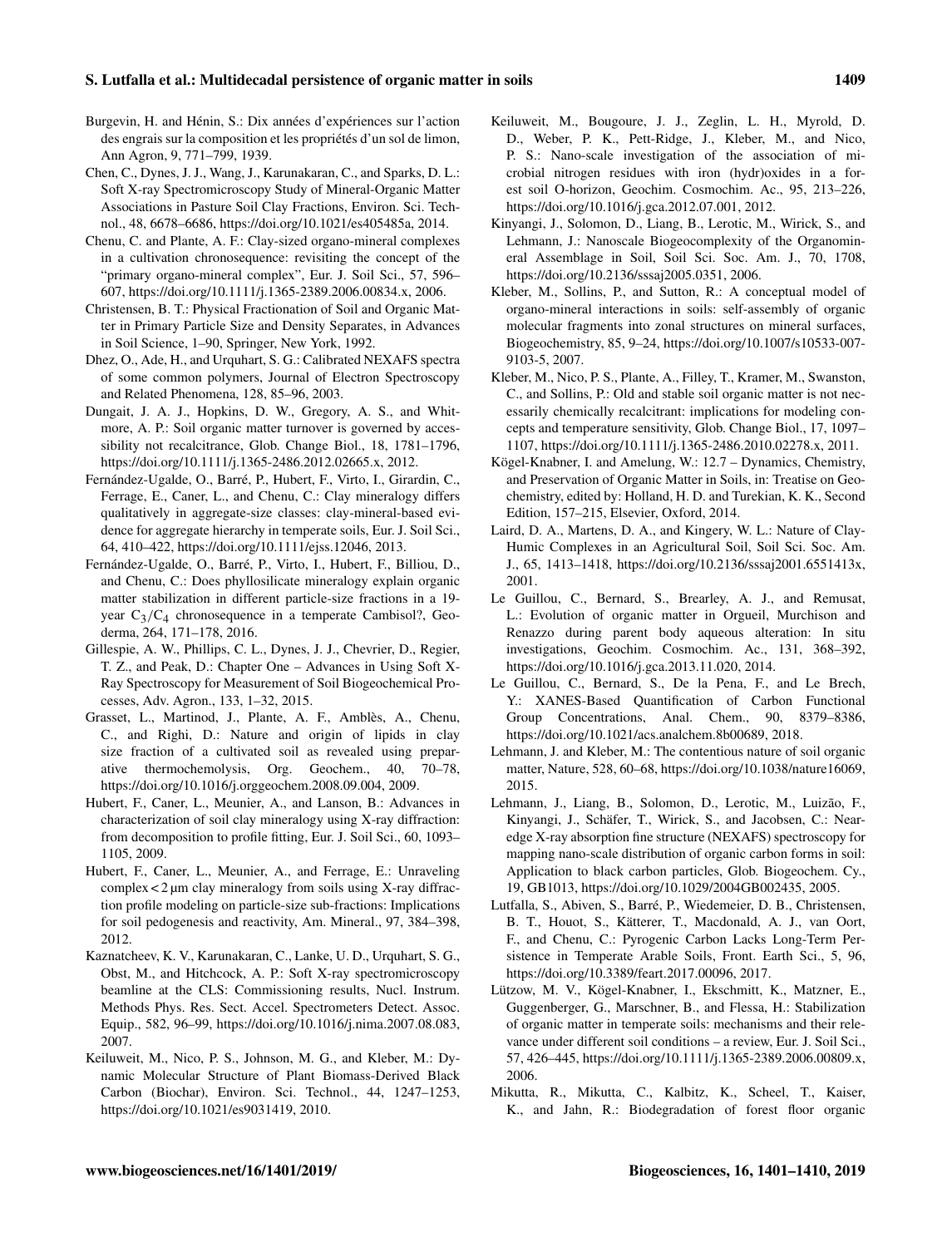## S. Lutfalla et al.: Multidecadal persistence of organic matter in soils 1409

- Burgevin, H. and Hénin, S.: Dix années d'expériences sur l'action des engrais sur la composition et les propriétés d'un sol de limon, Ann Agron, 9, 771–799, 1939.
- Chen, C., Dynes, J. J., Wang, J., Karunakaran, C., and Sparks, D. L.: Soft X-ray Spectromicroscopy Study of Mineral-Organic Matter Associations in Pasture Soil Clay Fractions, Environ. Sci. Technol., 48, 6678–6686, https://doi.org[/10.1021/es405485a,](https://doi.org/10.1021/es405485a) 2014.
- Chenu, C. and Plante, A. F.: Clay-sized organo-mineral complexes in a cultivation chronosequence: revisiting the concept of the "primary organo-mineral complex", Eur. J. Soil Sci., 57, 596– 607, https://doi.org[/10.1111/j.1365-2389.2006.00834.x,](https://doi.org/10.1111/j.1365-2389.2006.00834.x) 2006.
- Christensen, B. T.: Physical Fractionation of Soil and Organic Matter in Primary Particle Size and Density Separates, in Advances in Soil Science, 1–90, Springer, New York, 1992.
- Dhez, O., Ade, H., and Urquhart, S. G.: Calibrated NEXAFS spectra of some common polymers, Journal of Electron Spectroscopy and Related Phenomena, 128, 85–96, 2003.
- Dungait, J. A. J., Hopkins, D. W., Gregory, A. S., and Whitmore, A. P.: Soil organic matter turnover is governed by accessibility not recalcitrance, Glob. Change Biol., 18, 1781–1796, https://doi.org[/10.1111/j.1365-2486.2012.02665.x,](https://doi.org/10.1111/j.1365-2486.2012.02665.x) 2012.
- Fernández-Ugalde, O., Barré, P., Hubert, F., Virto, I., Girardin, C., Ferrage, E., Caner, L., and Chenu, C.: Clay mineralogy differs qualitatively in aggregate-size classes: clay-mineral-based evidence for aggregate hierarchy in temperate soils, Eur. J. Soil Sci., 64, 410–422, https://doi.org[/10.1111/ejss.12046,](https://doi.org/10.1111/ejss.12046) 2013.
- Fernández-Ugalde, O., Barré, P., Virto, I., Hubert, F., Billiou, D., and Chenu, C.: Does phyllosilicate mineralogy explain organic matter stabilization in different particle-size fractions in a 19 year  $C_3/C_4$  chronosequence in a temperate Cambisol?, Geoderma, 264, 171–178, 2016.
- Gillespie, A. W., Phillips, C. L., Dynes, J. J., Chevrier, D., Regier, T. Z., and Peak, D.: Chapter One – Advances in Using Soft X-Ray Spectroscopy for Measurement of Soil Biogeochemical Processes, Adv. Agron., 133, 1–32, 2015.
- Grasset, L., Martinod, J., Plante, A. F., Amblès, A., Chenu, C., and Righi, D.: Nature and origin of lipids in clay size fraction of a cultivated soil as revealed using preparative thermochemolysis, Org. Geochem., 40, 70–78, https://doi.org[/10.1016/j.orggeochem.2008.09.004,](https://doi.org/10.1016/j.orggeochem.2008.09.004) 2009.
- Hubert, F., Caner, L., Meunier, A., and Lanson, B.: Advances in characterization of soil clay mineralogy using X-ray diffraction: from decomposition to profile fitting, Eur. J. Soil Sci., 60, 1093– 1105, 2009.
- Hubert, F., Caner, L., Meunier, A., and Ferrage, E.: Unraveling complex < 2 µm clay mineralogy from soils using X-ray diffraction profile modeling on particle-size sub-fractions: Implications for soil pedogenesis and reactivity, Am. Mineral., 97, 384–398, 2012.
- Kaznatcheev, K. V., Karunakaran, C., Lanke, U. D., Urquhart, S. G., Obst, M., and Hitchcock, A. P.: Soft X-ray spectromicroscopy beamline at the CLS: Commissioning results, Nucl. Instrum. Methods Phys. Res. Sect. Accel. Spectrometers Detect. Assoc. Equip., 582, 96–99, https://doi.org[/10.1016/j.nima.2007.08.083,](https://doi.org/10.1016/j.nima.2007.08.083) 2007.
- Keiluweit, M., Nico, P. S., Johnson, M. G., and Kleber, M.: Dynamic Molecular Structure of Plant Biomass-Derived Black Carbon (Biochar), Environ. Sci. Technol., 44, 1247–1253, https://doi.org[/10.1021/es9031419,](https://doi.org/10.1021/es9031419) 2010.
- Keiluweit, M., Bougoure, J. J., Zeglin, L. H., Myrold, D. D., Weber, P. K., Pett-Ridge, J., Kleber, M., and Nico, P. S.: Nano-scale investigation of the association of microbial nitrogen residues with iron (hydr)oxides in a forest soil O-horizon, Geochim. Cosmochim. Ac., 95, 213–226, https://doi.org[/10.1016/j.gca.2012.07.001,](https://doi.org/10.1016/j.gca.2012.07.001) 2012.
- Kinyangi, J., Solomon, D., Liang, B., Lerotic, M., Wirick, S., and Lehmann, J.: Nanoscale Biogeocomplexity of the Organomineral Assemblage in Soil, Soil Sci. Soc. Am. J., 70, 1708, https://doi.org[/10.2136/sssaj2005.0351,](https://doi.org/10.2136/sssaj2005.0351) 2006.
- Kleber, M., Sollins, P., and Sutton, R.: A conceptual model of organo-mineral interactions in soils: self-assembly of organic molecular fragments into zonal structures on mineral surfaces, Biogeochemistry, 85, 9–24, https://doi.org[/10.1007/s10533-007-](https://doi.org/10.1007/s10533-007-9103-5) [9103-5,](https://doi.org/10.1007/s10533-007-9103-5) 2007.
- Kleber, M., Nico, P. S., Plante, A., Filley, T., Kramer, M., Swanston, C., and Sollins, P.: Old and stable soil organic matter is not necessarily chemically recalcitrant: implications for modeling concepts and temperature sensitivity, Glob. Change Biol., 17, 1097– 1107, https://doi.org[/10.1111/j.1365-2486.2010.02278.x,](https://doi.org/10.1111/j.1365-2486.2010.02278.x) 2011.
- Kögel-Knabner, I. and Amelung, W.: 12.7 Dynamics, Chemistry, and Preservation of Organic Matter in Soils, in: Treatise on Geochemistry, edited by: Holland, H. D. and Turekian, K. K., Second Edition, 157–215, Elsevier, Oxford, 2014.
- Laird, D. A., Martens, D. A., and Kingery, W. L.: Nature of Clay-Humic Complexes in an Agricultural Soil, Soil Sci. Soc. Am. J., 65, 1413–1418, https://doi.org[/10.2136/sssaj2001.6551413x,](https://doi.org/10.2136/sssaj2001.6551413x) 2001.
- Le Guillou, C., Bernard, S., Brearley, A. J., and Remusat, L.: Evolution of organic matter in Orgueil, Murchison and Renazzo during parent body aqueous alteration: In situ investigations, Geochim. Cosmochim. Ac., 131, 368–392, https://doi.org[/10.1016/j.gca.2013.11.020,](https://doi.org/10.1016/j.gca.2013.11.020) 2014.
- Le Guillou, C., Bernard, S., De la Pena, F., and Le Brech, Y.: XANES-Based Quantification of Carbon Functional Group Concentrations, Anal. Chem., 90, 8379–8386, https://doi.org[/10.1021/acs.analchem.8b00689,](https://doi.org/10.1021/acs.analchem.8b00689) 2018.
- Lehmann, J. and Kleber, M.: The contentious nature of soil organic matter, Nature, 528, 60–68, https://doi.org[/10.1038/nature16069,](https://doi.org/10.1038/nature16069) 2015.
- Lehmann, J., Liang, B., Solomon, D., Lerotic, M., Luizão, F., Kinyangi, J., Schäfer, T., Wirick, S., and Jacobsen, C.: Nearedge X-ray absorption fine structure (NEXAFS) spectroscopy for mapping nano-scale distribution of organic carbon forms in soil: Application to black carbon particles, Glob. Biogeochem. Cy., 19, GB1013, https://doi.org[/10.1029/2004GB002435,](https://doi.org/10.1029/2004GB002435) 2005.
- Lutfalla, S., Abiven, S., Barré, P., Wiedemeier, D. B., Christensen, B. T., Houot, S., Kätterer, T., Macdonald, A. J., van Oort, F., and Chenu, C.: Pyrogenic Carbon Lacks Long-Term Persistence in Temperate Arable Soils, Front. Earth Sci., 5, 96, https://doi.org[/10.3389/feart.2017.00096,](https://doi.org/10.3389/feart.2017.00096) 2017.
- Lützow, M. V., Kögel-Knabner, I., Ekschmitt, K., Matzner, E., Guggenberger, G., Marschner, B., and Flessa, H.: Stabilization of organic matter in temperate soils: mechanisms and their relevance under different soil conditions – a review, Eur. J. Soil Sci., 57, 426–445, https://doi.org[/10.1111/j.1365-2389.2006.00809.x,](https://doi.org/10.1111/j.1365-2389.2006.00809.x) 2006.
- Mikutta, R., Mikutta, C., Kalbitz, K., Scheel, T., Kaiser, K., and Jahn, R.: Biodegradation of forest floor organic